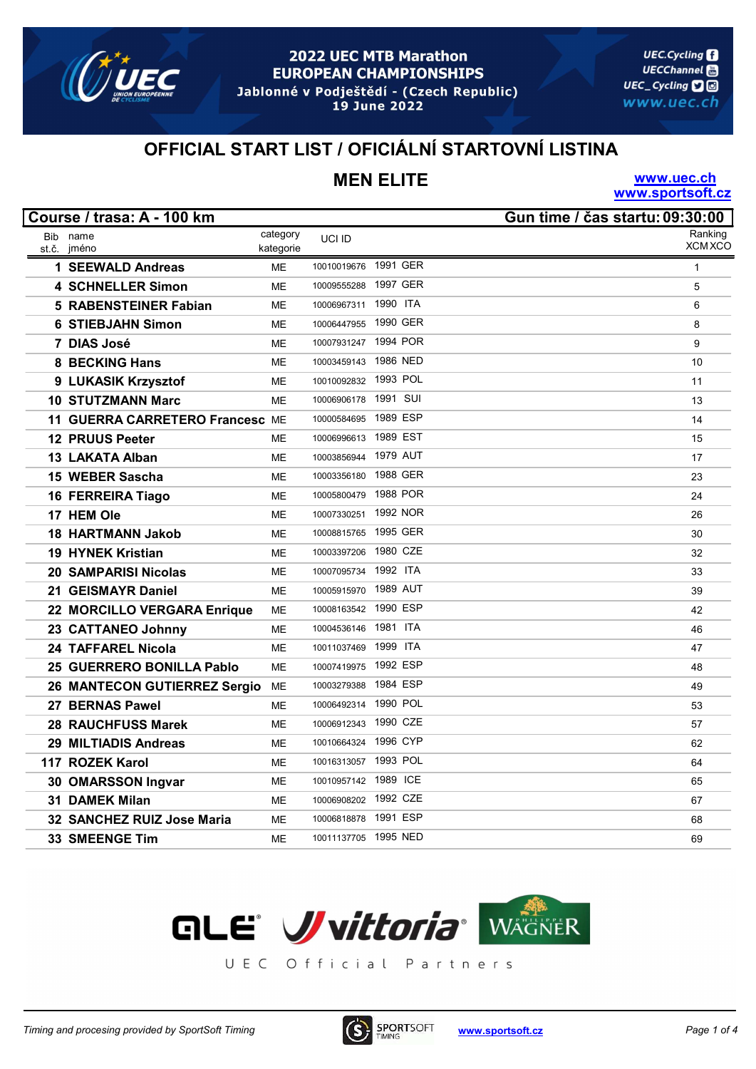

19 June 2022

**UEC.Cycling UECChannel** UEC\_Cycling **口**回 www.uec.ch

### OFFICIAL START LIST / OFICIÁLNÍ STARTOVNÍ LISTINA

# MEN ELITE

www.uec.ch www.sportsoft.cz

|       | Course / trasa: A - 100 km          |           |                      |          | Gun time / čas startu: 09:30:00 |
|-------|-------------------------------------|-----------|----------------------|----------|---------------------------------|
|       | Bib name                            | category  | UCI ID               |          | Ranking                         |
| st.č. | jméno                               | kategorie |                      |          | <b>XCM XCO</b>                  |
|       | 1 SEEWALD Andreas                   | <b>ME</b> | 10010019676 1991 GER |          | $\mathbf{1}$                    |
|       | <b>4 SCHNELLER Simon</b>            | <b>ME</b> | 10009555288          | 1997 GER | 5                               |
|       | <b>5 RABENSTEINER Fabian</b>        | ME        | 10006967311          | 1990 ITA | 6                               |
|       | <b>6 STIEBJAHN Simon</b>            | <b>ME</b> | 10006447955 1990 GER |          | 8                               |
|       | 7 DIAS José                         | <b>ME</b> | 10007931247          | 1994 POR | 9                               |
|       | <b>8 BECKING Hans</b>               | ME        | 10003459143          | 1986 NED | 10                              |
|       | 9 LUKASIK Krzysztof                 | ME        | 10010092832 1993 POL |          | 11                              |
|       | <b>10 STUTZMANN Marc</b>            | ME        | 10006906178 1991 SUI |          | 13                              |
|       | 11 GUERRA CARRETERO Francesc ME     |           | 10000584695 1989 ESP |          | 14                              |
|       | <b>12 PRUUS Peeter</b>              | <b>ME</b> | 10006996613 1989 EST |          | 15                              |
|       | 13 LAKATA Alban                     | ME        | 10003856944 1979 AUT |          | 17                              |
|       | 15 WEBER Sascha                     | <b>ME</b> | 10003356180 1988 GER |          | 23                              |
|       | <b>16 FERREIRA Tiago</b>            | ME        | 10005800479 1988 POR |          | 24                              |
|       | 17 HEM Ole                          | <b>ME</b> | 10007330251          | 1992 NOR | 26                              |
|       | <b>18 HARTMANN Jakob</b>            | <b>ME</b> | 10008815765 1995 GER |          | 30                              |
|       | 19 HYNEK Kristian                   | ME        | 10003397206 1980 CZE |          | 32                              |
|       | 20 SAMPARISI Nicolas                | <b>ME</b> | 10007095734 1992 ITA |          | 33                              |
|       | 21 GEISMAYR Daniel                  | <b>ME</b> | 10005915970          | 1989 AUT | 39                              |
|       | 22 MORCILLO VERGARA Enrique         | ME        | 10008163542 1990 ESP |          | 42                              |
|       | 23 CATTANEO Johnny                  | <b>ME</b> | 10004536146          | 1981 ITA | 46                              |
|       | 24 TAFFAREL Nicola                  | ME        | 10011037469 1999 ITA |          | 47                              |
|       | 25 GUERRERO BONILLA Pablo           | <b>ME</b> | 10007419975 1992 ESP |          | 48                              |
|       | <b>26 MANTECON GUTIERREZ Sergio</b> | ME        | 10003279388          | 1984 ESP | 49                              |
|       | 27 BERNAS Pawel                     | ME        | 10006492314 1990 POL |          | 53                              |
|       | <b>28 RAUCHFUSS Marek</b>           | ME        | 10006912343 1990 CZE |          | 57                              |
|       | 29 MILTIADIS Andreas                | <b>ME</b> | 10010664324 1996 CYP |          | 62                              |
|       | 117 ROZEK Karol                     | <b>ME</b> | 10016313057          | 1993 POL | 64                              |
|       | 30 OMARSSON Ingvar                  | <b>ME</b> | 10010957142 1989 ICE |          | 65                              |
|       | 31 DAMEK Milan                      | ME        | 10006908202 1992 CZE |          | 67                              |
|       | 32 SANCHEZ RUIZ Jose Maria          | ME        | 10006818878 1991 ESP |          | 68                              |
|       | <b>33 SMEENGE Tim</b>               | <b>ME</b> | 10011137705 1995 NED |          | 69                              |



UEC Official Partners

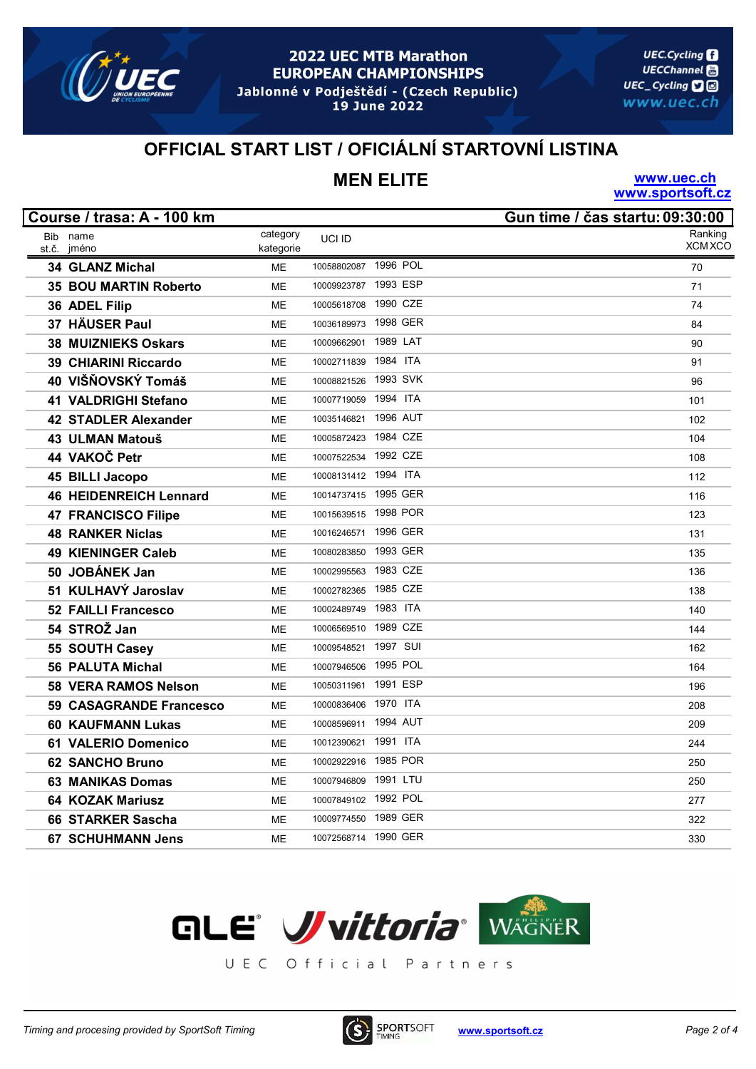

19 June 2022

**UEC.Cycling UECChannel** UEC\_Cycling **口**回 www.uec.ch

### OFFICIAL START LIST / OFICIÁLNÍ STARTOVNÍ LISTINA

# MEN ELITE

www.uec.ch www.sportsoft.cz

|       | Course / trasa: A - 100 km    |           |                      |          | Gun time / čas startu: 09:30:00 |
|-------|-------------------------------|-----------|----------------------|----------|---------------------------------|
|       | Bib name                      | category  | UCI ID               |          | Ranking                         |
| st.č. | jméno                         | kategorie |                      |          | <b>XCM XCO</b>                  |
|       | 34 GLANZ Michal               | <b>ME</b> | 10058802087          | 1996 POL | 70                              |
|       | <b>35 BOU MARTIN Roberto</b>  | <b>ME</b> | 10009923787          | 1993 ESP | 71                              |
|       | 36 ADEL Filip                 | <b>ME</b> | 10005618708          | 1990 CZE | 74                              |
| 37    | <b>HÄUSER Paul</b>            | <b>ME</b> | 10036189973          | 1998 GER | 84                              |
|       | <b>38 MUIZNIEKS Oskars</b>    | <b>ME</b> | 10009662901          | 1989 LAT | 90                              |
|       | 39 CHIARINI Riccardo          | <b>ME</b> | 10002711839          | 1984 ITA | 91                              |
|       | 40 VIŠŇOVSKÝ Tomáš            | <b>ME</b> | 10008821526 1993 SVK |          | 96                              |
|       | 41 VALDRIGHI Stefano          | <b>ME</b> | 10007719059          | 1994 ITA | 101                             |
|       | <b>42 STADLER Alexander</b>   | <b>ME</b> | 10035146821          | 1996 AUT | 102                             |
|       | 43 ULMAN Matouš               | <b>ME</b> | 10005872423 1984 CZE |          | 104                             |
|       | 44 VAKOČ Petr                 | <b>ME</b> | 10007522534          | 1992 CZE | 108                             |
|       | 45 BILLI Jacopo               | <b>ME</b> | 10008131412 1994 ITA |          | 112                             |
|       | <b>46 HEIDENREICH Lennard</b> | <b>ME</b> | 10014737415 1995 GER |          | 116                             |
|       | <b>47 FRANCISCO Filipe</b>    | <b>ME</b> | 10015639515          | 1998 POR | 123                             |
|       | <b>48 RANKER Niclas</b>       | <b>ME</b> | 10016246571 1996 GER |          | 131                             |
|       | <b>49 KIENINGER Caleb</b>     | <b>ME</b> | 10080283850          | 1993 GER | 135                             |
|       | 50 JOBÁNEK Jan                | <b>ME</b> | 10002995563          | 1983 CZE | 136                             |
|       | 51 KULHAVÝ Jaroslav           | <b>ME</b> | 10002782365          | 1985 CZE | 138                             |
|       | <b>52 FAILLI Francesco</b>    | <b>ME</b> | 10002489749          | 1983 ITA | 140                             |
|       | 54 STROŽ Jan                  | ME        | 10006569510          | 1989 CZE | 144                             |
|       | 55 SOUTH Casey                | <b>ME</b> | 10009548521          | 1997 SUI | 162                             |
|       | <b>56 PALUTA Michal</b>       | <b>ME</b> | 10007946506          | 1995 POL | 164                             |
|       | <b>58 VERA RAMOS Nelson</b>   | <b>ME</b> | 10050311961          | 1991 ESP | 196                             |
|       | 59 CASAGRANDE Francesco       | ME        | 10000836406 1970 ITA |          | 208                             |
|       | <b>60 KAUFMANN Lukas</b>      | <b>ME</b> | 10008596911          | 1994 AUT | 209                             |
|       | <b>61 VALERIO Domenico</b>    | <b>ME</b> | 10012390621          | 1991 ITA | 244                             |
|       | <b>62 SANCHO Bruno</b>        | <b>ME</b> | 10002922916          | 1985 POR | 250                             |
|       | <b>63 MANIKAS Domas</b>       | <b>ME</b> | 10007946809          | 1991 LTU | 250                             |
|       | <b>64 KOZAK Mariusz</b>       | <b>ME</b> | 10007849102 1992 POL |          | 277                             |
|       | <b>66 STARKER Sascha</b>      | <b>ME</b> | 10009774550          | 1989 GER | 322                             |
|       | <b>67 SCHUHMANN Jens</b>      | ME        | 10072568714          | 1990 GER | 330                             |



UEC Official Partners

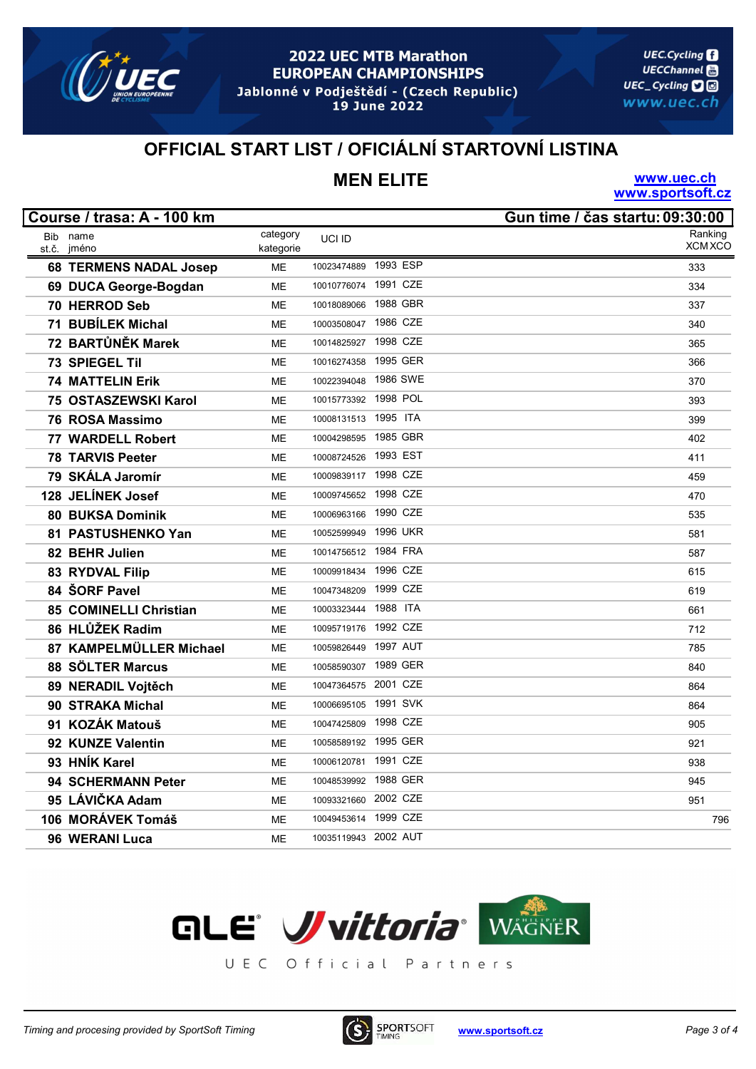

19 June 2022

**UEC.Cycling UECChannel** UEC\_Cycling **口**回 www.uec.ch

### OFFICIAL START LIST / OFICIÁLNÍ STARTOVNÍ LISTINA

# MEN ELITE

www.uec.ch www.sportsoft.cz

|       | Course / trasa: A - 100 km    |           |                      |          | Gun time / čas startu: 09:30:00 |
|-------|-------------------------------|-----------|----------------------|----------|---------------------------------|
|       | Bib name                      | category  | UCI ID               |          | Ranking                         |
| st.č. | jméno                         | kategorie |                      |          | <b>XCM XCO</b>                  |
|       | <b>68 TERMENS NADAL Josep</b> | <b>ME</b> | 10023474889          | 1993 ESP | 333                             |
|       | 69 DUCA George-Bogdan         | <b>ME</b> | 10010776074          | 1991 CZE | 334                             |
|       | 70 HERROD Seb                 | ME        | 10018089066          | 1988 GBR | 337                             |
|       | 71 BUBÍLEK Michal             | <b>ME</b> | 10003508047          | 1986 CZE | 340                             |
|       | 72 BARTŮNĚK Marek             | <b>ME</b> | 10014825927          | 1998 CZE | 365                             |
|       | <b>73 SPIEGEL Til</b>         | <b>ME</b> | 10016274358          | 1995 GER | 366                             |
|       | <b>74 MATTELIN Erik</b>       | ME        | 10022394048          | 1986 SWE | 370                             |
|       | 75 OSTASZEWSKI Karol          | ME        | 10015773392 1998 POL |          | 393                             |
|       | 76 ROSA Massimo               | <b>ME</b> | 10008131513          | 1995 ITA | 399                             |
|       | 77 WARDELL Robert             | <b>ME</b> | 10004298595          | 1985 GBR | 402                             |
|       | <b>78 TARVIS Peeter</b>       | <b>ME</b> | 10008724526 1993 EST |          | 411                             |
|       | 79 SKÁLA Jaromír              | <b>ME</b> | 10009839117 1998 CZE |          | 459                             |
|       | 128 JELÍNEK Josef             | ME        | 10009745652 1998 CZE |          | 470                             |
|       | <b>80 BUKSA Dominik</b>       | <b>ME</b> | 10006963166          | 1990 CZE | 535                             |
|       | 81 PASTUSHENKO Yan            | ME        | 10052599949          | 1996 UKR | 581                             |
|       | 82 BEHR Julien                | <b>ME</b> | 10014756512 1984 FRA |          | 587                             |
|       | 83 RYDVAL Filip               | <b>ME</b> | 10009918434 1996 CZE |          | 615                             |
|       | 84 ŠORF Pavel                 | <b>ME</b> | 10047348209          | 1999 CZE | 619                             |
|       | 85 COMINELLI Christian        | ME        | 10003323444 1988 ITA |          | 661                             |
|       | 86 HLŮŽEK Radim               | <b>ME</b> | 10095719176          | 1992 CZE | 712                             |
|       | 87 KAMPELMÜLLER Michael       | <b>ME</b> | 10059826449          | 1997 AUT | 785                             |
|       | 88 SÖLTER Marcus              | <b>ME</b> | 10058590307          | 1989 GER | 840                             |
|       | 89 NERADIL Vojtěch            | <b>ME</b> | 10047364575 2001 CZE |          | 864                             |
|       | 90 STRAKA Michal              | <b>ME</b> | 10006695105          | 1991 SVK | 864                             |
|       | 91 KOZÁK Matouš               | ME        | 10047425809          | 1998 CZE | 905                             |
|       | 92 KUNZE Valentin             | ME        | 10058589192          | 1995 GER | 921                             |
|       | 93 HNÍK Karel                 | <b>ME</b> | 10006120781          | 1991 CZE | 938                             |
|       | <b>94 SCHERMANN Peter</b>     | <b>ME</b> | 10048539992          | 1988 GER | 945                             |
|       | 95 LÁVIČKA Adam               | ME        | 10093321660 2002 CZE |          | 951                             |
|       | 106 MORÁVEK Tomáš             | ME        | 10049453614          | 1999 CZE | 796                             |
|       | 96 WERANI Luca                | ME        | 10035119943 2002 AUT |          |                                 |



UEC Official Partners